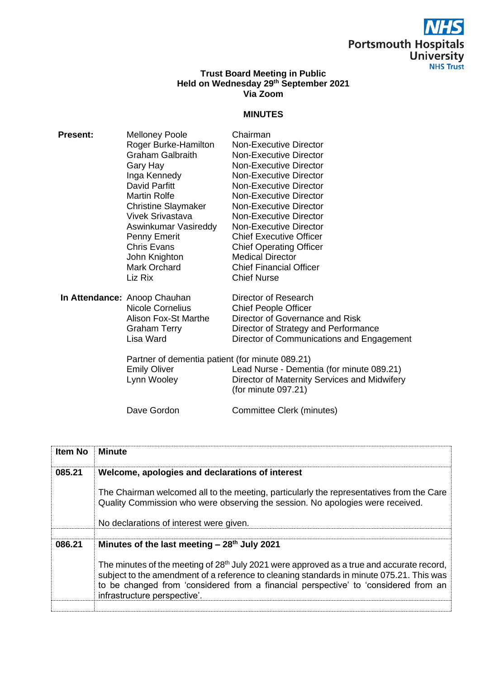## **Portsmouth Hospitals<br>University<br>NHS Trust**

## **Trust Board Meeting in Public Held on Wednesday 29 th September 2021 Via Zoom**

## **MINUTES**

| <b>Present:</b> | <b>Melloney Poole</b>                           | Chairman                                                            |
|-----------------|-------------------------------------------------|---------------------------------------------------------------------|
|                 | Roger Burke-Hamilton                            | <b>Non-Executive Director</b>                                       |
|                 | <b>Graham Galbraith</b>                         | Non-Executive Director                                              |
|                 | Gary Hay                                        | Non-Executive Director                                              |
|                 | Inga Kennedy                                    | Non-Executive Director                                              |
|                 | David Parfitt                                   | Non-Executive Director                                              |
|                 | Martin Rolfe                                    | Non-Executive Director                                              |
|                 | <b>Christine Slaymaker</b>                      | Non-Executive Director                                              |
|                 | <b>Vivek Srivastava</b>                         | <b>Non-Executive Director</b>                                       |
|                 | Aswinkumar Vasireddy                            | Non-Executive Director                                              |
|                 | <b>Penny Emerit</b>                             | <b>Chief Executive Officer</b>                                      |
|                 | <b>Chris Evans</b>                              | <b>Chief Operating Officer</b>                                      |
|                 | John Knighton                                   | <b>Medical Director</b>                                             |
|                 | Mark Orchard                                    | <b>Chief Financial Officer</b>                                      |
|                 | Liz Rix                                         | <b>Chief Nurse</b>                                                  |
|                 | In Attendance: Anoop Chauhan                    | Director of Research                                                |
|                 | <b>Nicole Cornelius</b>                         | <b>Chief People Officer</b>                                         |
|                 | Alison Fox-St Marthe                            | Director of Governance and Risk                                     |
|                 | <b>Graham Terry</b>                             | Director of Strategy and Performance                                |
|                 | Lisa Ward                                       | Director of Communications and Engagement                           |
|                 | Partner of dementia patient (for minute 089.21) |                                                                     |
|                 | <b>Emily Oliver</b>                             | Lead Nurse - Dementia (for minute 089.21)                           |
|                 | Lynn Wooley                                     | Director of Maternity Services and Midwifery<br>(for minute 097.21) |

Dave Gordon Committee Clerk (minutes)

| <b>Item No</b> | Minute                                                                                                                                                                                                                                                                                                                   |
|----------------|--------------------------------------------------------------------------------------------------------------------------------------------------------------------------------------------------------------------------------------------------------------------------------------------------------------------------|
| 085.21         | Welcome, apologies and declarations of interest                                                                                                                                                                                                                                                                          |
|                | The Chairman welcomed all to the meeting, particularly the representatives from the Care<br>Quality Commission who were observing the session. No apologies were received.                                                                                                                                               |
|                | No declarations of interest were given.                                                                                                                                                                                                                                                                                  |
| 086.21         | Minutes of the last meeting $-28th$ July 2021                                                                                                                                                                                                                                                                            |
|                | The minutes of the meeting of 28 <sup>th</sup> July 2021 were approved as a true and accurate record,<br>subject to the amendment of a reference to cleaning standards in minute 075.21. This was<br>to be changed from 'considered from a financial perspective' to 'considered from an<br>infrastructure perspective'. |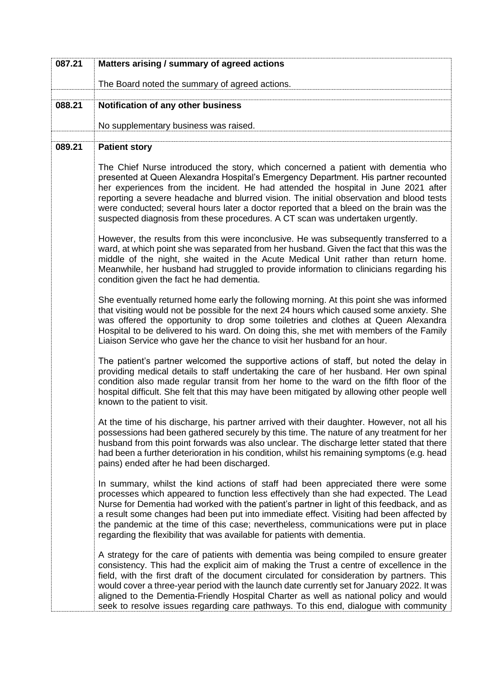| 087.21 | Matters arising / summary of agreed actions                                                                                                                                                                                                                                                                                                                                                                                                                                                                                                                       |
|--------|-------------------------------------------------------------------------------------------------------------------------------------------------------------------------------------------------------------------------------------------------------------------------------------------------------------------------------------------------------------------------------------------------------------------------------------------------------------------------------------------------------------------------------------------------------------------|
|        | The Board noted the summary of agreed actions.                                                                                                                                                                                                                                                                                                                                                                                                                                                                                                                    |
| 088.21 | Notification of any other business                                                                                                                                                                                                                                                                                                                                                                                                                                                                                                                                |
|        | No supplementary business was raised.                                                                                                                                                                                                                                                                                                                                                                                                                                                                                                                             |
| 089.21 | <b>Patient story</b>                                                                                                                                                                                                                                                                                                                                                                                                                                                                                                                                              |
|        | The Chief Nurse introduced the story, which concerned a patient with dementia who<br>presented at Queen Alexandra Hospital's Emergency Department. His partner recounted<br>her experiences from the incident. He had attended the hospital in June 2021 after<br>reporting a severe headache and blurred vision. The initial observation and blood tests<br>were conducted; several hours later a doctor reported that a bleed on the brain was the<br>suspected diagnosis from these procedures. A CT scan was undertaken urgently.                             |
|        | However, the results from this were inconclusive. He was subsequently transferred to a<br>ward, at which point she was separated from her husband. Given the fact that this was the<br>middle of the night, she waited in the Acute Medical Unit rather than return home.<br>Meanwhile, her husband had struggled to provide information to clinicians regarding his<br>condition given the fact he had dementia.                                                                                                                                                 |
|        | She eventually returned home early the following morning. At this point she was informed<br>that visiting would not be possible for the next 24 hours which caused some anxiety. She<br>was offered the opportunity to drop some toiletries and clothes at Queen Alexandra<br>Hospital to be delivered to his ward. On doing this, she met with members of the Family<br>Liaison Service who gave her the chance to visit her husband for an hour.                                                                                                                |
|        | The patient's partner welcomed the supportive actions of staff, but noted the delay in<br>providing medical details to staff undertaking the care of her husband. Her own spinal<br>condition also made regular transit from her home to the ward on the fifth floor of the<br>hospital difficult. She felt that this may have been mitigated by allowing other people well<br>known to the patient to visit.                                                                                                                                                     |
|        | At the time of his discharge, his partner arrived with their daughter. However, not all his<br>possessions had been gathered securely by this time. The nature of any treatment for her<br>husband from this point forwards was also unclear. The discharge letter stated that there<br>had been a further deterioration in his condition, whilst his remaining symptoms (e.g. head<br>pains) ended after he had been discharged.                                                                                                                                 |
|        | In summary, whilst the kind actions of staff had been appreciated there were some<br>processes which appeared to function less effectively than she had expected. The Lead<br>Nurse for Dementia had worked with the patient's partner in light of this feedback, and as<br>a result some changes had been put into immediate effect. Visiting had been affected by<br>the pandemic at the time of this case; nevertheless, communications were put in place<br>regarding the flexibility that was available for patients with dementia.                          |
|        | A strategy for the care of patients with dementia was being compiled to ensure greater<br>consistency. This had the explicit aim of making the Trust a centre of excellence in the<br>field, with the first draft of the document circulated for consideration by partners. This<br>would cover a three-year period with the launch date currently set for January 2022. It was<br>aligned to the Dementia-Friendly Hospital Charter as well as national policy and would<br>seek to resolve issues regarding care pathways. To this end, dialogue with community |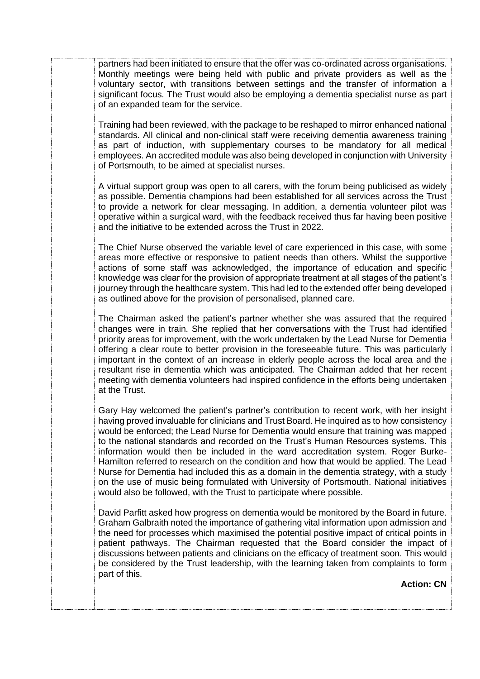partners had been initiated to ensure that the offer was co-ordinated across organisations. Monthly meetings were being held with public and private providers as well as the voluntary sector, with transitions between settings and the transfer of information a significant focus. The Trust would also be employing a dementia specialist nurse as part of an expanded team for the service.

Training had been reviewed, with the package to be reshaped to mirror enhanced national standards. All clinical and non-clinical staff were receiving dementia awareness training as part of induction, with supplementary courses to be mandatory for all medical employees. An accredited module was also being developed in conjunction with University of Portsmouth, to be aimed at specialist nurses.

A virtual support group was open to all carers, with the forum being publicised as widely as possible. Dementia champions had been established for all services across the Trust to provide a network for clear messaging. In addition, a dementia volunteer pilot was operative within a surgical ward, with the feedback received thus far having been positive and the initiative to be extended across the Trust in 2022.

The Chief Nurse observed the variable level of care experienced in this case, with some areas more effective or responsive to patient needs than others. Whilst the supportive actions of some staff was acknowledged, the importance of education and specific knowledge was clear for the provision of appropriate treatment at all stages of the patient's journey through the healthcare system. This had led to the extended offer being developed as outlined above for the provision of personalised, planned care.

The Chairman asked the patient's partner whether she was assured that the required changes were in train. She replied that her conversations with the Trust had identified priority areas for improvement, with the work undertaken by the Lead Nurse for Dementia offering a clear route to better provision in the foreseeable future. This was particularly important in the context of an increase in elderly people across the local area and the resultant rise in dementia which was anticipated. The Chairman added that her recent meeting with dementia volunteers had inspired confidence in the efforts being undertaken at the Trust.

Gary Hay welcomed the patient's partner's contribution to recent work, with her insight having proved invaluable for clinicians and Trust Board. He inquired as to how consistency would be enforced; the Lead Nurse for Dementia would ensure that training was mapped to the national standards and recorded on the Trust's Human Resources systems. This information would then be included in the ward accreditation system. Roger Burke-Hamilton referred to research on the condition and how that would be applied. The Lead Nurse for Dementia had included this as a domain in the dementia strategy, with a study on the use of music being formulated with University of Portsmouth. National initiatives would also be followed, with the Trust to participate where possible.

David Parfitt asked how progress on dementia would be monitored by the Board in future. Graham Galbraith noted the importance of gathering vital information upon admission and the need for processes which maximised the potential positive impact of critical points in patient pathways. The Chairman requested that the Board consider the impact of discussions between patients and clinicians on the efficacy of treatment soon. This would be considered by the Trust leadership, with the learning taken from complaints to form part of this.

**Action: CN**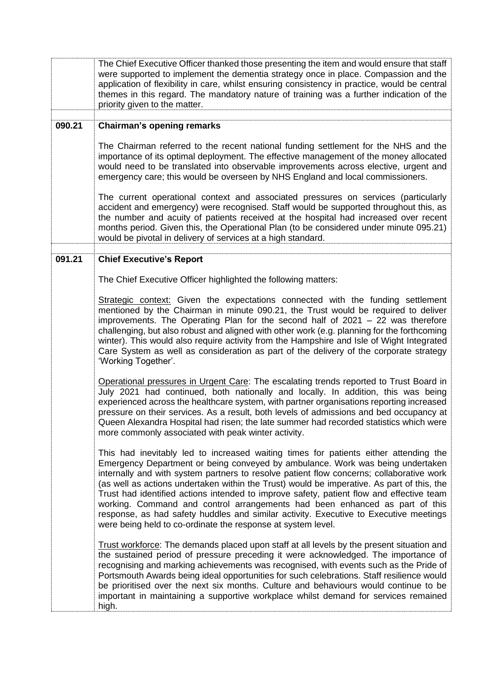|        | The Chief Executive Officer thanked those presenting the item and would ensure that staff<br>were supported to implement the dementia strategy once in place. Compassion and the<br>application of flexibility in care, whilst ensuring consistency in practice, would be central<br>themes in this regard. The mandatory nature of training was a further indication of the<br>priority given to the matter.                                                                                                                                                                                                                                                                                        |
|--------|------------------------------------------------------------------------------------------------------------------------------------------------------------------------------------------------------------------------------------------------------------------------------------------------------------------------------------------------------------------------------------------------------------------------------------------------------------------------------------------------------------------------------------------------------------------------------------------------------------------------------------------------------------------------------------------------------|
|        |                                                                                                                                                                                                                                                                                                                                                                                                                                                                                                                                                                                                                                                                                                      |
| 090.21 | <b>Chairman's opening remarks</b>                                                                                                                                                                                                                                                                                                                                                                                                                                                                                                                                                                                                                                                                    |
|        | The Chairman referred to the recent national funding settlement for the NHS and the<br>importance of its optimal deployment. The effective management of the money allocated<br>would need to be translated into observable improvements across elective, urgent and<br>emergency care; this would be overseen by NHS England and local commissioners.                                                                                                                                                                                                                                                                                                                                               |
|        | The current operational context and associated pressures on services (particularly<br>accident and emergency) were recognised. Staff would be supported throughout this, as<br>the number and acuity of patients received at the hospital had increased over recent<br>months period. Given this, the Operational Plan (to be considered under minute 095.21)<br>would be pivotal in delivery of services at a high standard.                                                                                                                                                                                                                                                                        |
| 091.21 | <b>Chief Executive's Report</b>                                                                                                                                                                                                                                                                                                                                                                                                                                                                                                                                                                                                                                                                      |
|        |                                                                                                                                                                                                                                                                                                                                                                                                                                                                                                                                                                                                                                                                                                      |
|        | The Chief Executive Officer highlighted the following matters:                                                                                                                                                                                                                                                                                                                                                                                                                                                                                                                                                                                                                                       |
|        |                                                                                                                                                                                                                                                                                                                                                                                                                                                                                                                                                                                                                                                                                                      |
|        | Strategic context: Given the expectations connected with the funding settlement<br>mentioned by the Chairman in minute 090.21, the Trust would be required to deliver<br>improvements. The Operating Plan for the second half of $2021 - 22$ was therefore<br>challenging, but also robust and aligned with other work (e.g. planning for the forthcoming<br>winter). This would also require activity from the Hampshire and Isle of Wight Integrated<br>Care System as well as consideration as part of the delivery of the corporate strategy<br>'Working Together'.                                                                                                                              |
|        | Operational pressures in Urgent Care: The escalating trends reported to Trust Board in<br>July 2021 had continued, both nationally and locally. In addition, this was being<br>experienced across the healthcare system, with partner organisations reporting increased<br>pressure on their services. As a result, both levels of admissions and bed occupancy at<br>Queen Alexandra Hospital had risen; the late summer had recorded statistics which were<br>more commonly associated with peak winter activity.                                                                                                                                                                                  |
|        | This had inevitably led to increased waiting times for patients either attending the<br>Emergency Department or being conveyed by ambulance. Work was being undertaken<br>internally and with system partners to resolve patient flow concerns; collaborative work<br>(as well as actions undertaken within the Trust) would be imperative. As part of this, the<br>Trust had identified actions intended to improve safety, patient flow and effective team<br>working. Command and control arrangements had been enhanced as part of this<br>response, as had safety huddles and similar activity. Executive to Executive meetings<br>were being held to co-ordinate the response at system level. |
|        | Trust workforce: The demands placed upon staff at all levels by the present situation and<br>the sustained period of pressure preceding it were acknowledged. The importance of<br>recognising and marking achievements was recognised, with events such as the Pride of<br>Portsmouth Awards being ideal opportunities for such celebrations. Staff resilience would<br>be prioritised over the next six months. Culture and behaviours would continue to be<br>important in maintaining a supportive workplace whilst demand for services remained<br>high.                                                                                                                                        |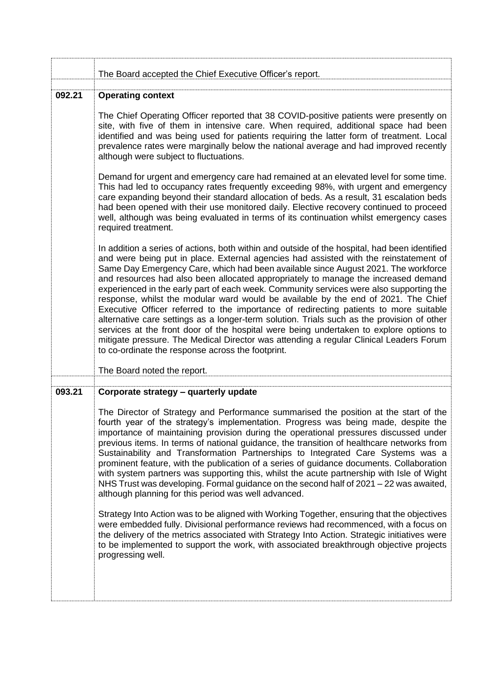|        | The Board accepted the Chief Executive Officer's report.                                                                                                                                                                                                                                                                                                                                                                                                                                                                                                                                                                                                                                                                                                                                                                                                                                                                                                                                                           |
|--------|--------------------------------------------------------------------------------------------------------------------------------------------------------------------------------------------------------------------------------------------------------------------------------------------------------------------------------------------------------------------------------------------------------------------------------------------------------------------------------------------------------------------------------------------------------------------------------------------------------------------------------------------------------------------------------------------------------------------------------------------------------------------------------------------------------------------------------------------------------------------------------------------------------------------------------------------------------------------------------------------------------------------|
| 092.21 | <b>Operating context</b>                                                                                                                                                                                                                                                                                                                                                                                                                                                                                                                                                                                                                                                                                                                                                                                                                                                                                                                                                                                           |
|        | The Chief Operating Officer reported that 38 COVID-positive patients were presently on<br>site, with five of them in intensive care. When required, additional space had been<br>identified and was being used for patients requiring the latter form of treatment. Local<br>prevalence rates were marginally below the national average and had improved recently<br>although were subject to fluctuations.                                                                                                                                                                                                                                                                                                                                                                                                                                                                                                                                                                                                       |
|        | Demand for urgent and emergency care had remained at an elevated level for some time.<br>This had led to occupancy rates frequently exceeding 98%, with urgent and emergency<br>care expanding beyond their standard allocation of beds. As a result, 31 escalation beds<br>had been opened with their use monitored daily. Elective recovery continued to proceed<br>well, although was being evaluated in terms of its continuation whilst emergency cases<br>required treatment.                                                                                                                                                                                                                                                                                                                                                                                                                                                                                                                                |
|        | In addition a series of actions, both within and outside of the hospital, had been identified<br>and were being put in place. External agencies had assisted with the reinstatement of<br>Same Day Emergency Care, which had been available since August 2021. The workforce<br>and resources had also been allocated appropriately to manage the increased demand<br>experienced in the early part of each week. Community services were also supporting the<br>response, whilst the modular ward would be available by the end of 2021. The Chief<br>Executive Officer referred to the importance of redirecting patients to more suitable<br>alternative care settings as a longer-term solution. Trials such as the provision of other<br>services at the front door of the hospital were being undertaken to explore options to<br>mitigate pressure. The Medical Director was attending a regular Clinical Leaders Forum<br>to co-ordinate the response across the footprint.<br>The Board noted the report. |
|        |                                                                                                                                                                                                                                                                                                                                                                                                                                                                                                                                                                                                                                                                                                                                                                                                                                                                                                                                                                                                                    |
| 093.21 | Corporate strategy - quarterly update                                                                                                                                                                                                                                                                                                                                                                                                                                                                                                                                                                                                                                                                                                                                                                                                                                                                                                                                                                              |
|        | The Director of Strategy and Performance summarised the position at the start of the<br>fourth year of the strategy's implementation. Progress was being made, despite the<br>importance of maintaining provision during the operational pressures discussed under<br>previous items. In terms of national guidance, the transition of healthcare networks from<br>Sustainability and Transformation Partnerships to Integrated Care Systems was a<br>prominent feature, with the publication of a series of guidance documents. Collaboration<br>with system partners was supporting this, whilst the acute partnership with Isle of Wight<br>NHS Trust was developing. Formal guidance on the second half of 2021 – 22 was awaited,<br>although planning for this period was well advanced.                                                                                                                                                                                                                      |
|        | Strategy Into Action was to be aligned with Working Together, ensuring that the objectives<br>were embedded fully. Divisional performance reviews had recommenced, with a focus on<br>the delivery of the metrics associated with Strategy Into Action. Strategic initiatives were<br>to be implemented to support the work, with associated breakthrough objective projects<br>progressing well.                                                                                                                                                                                                                                                                                                                                                                                                                                                                                                                                                                                                                  |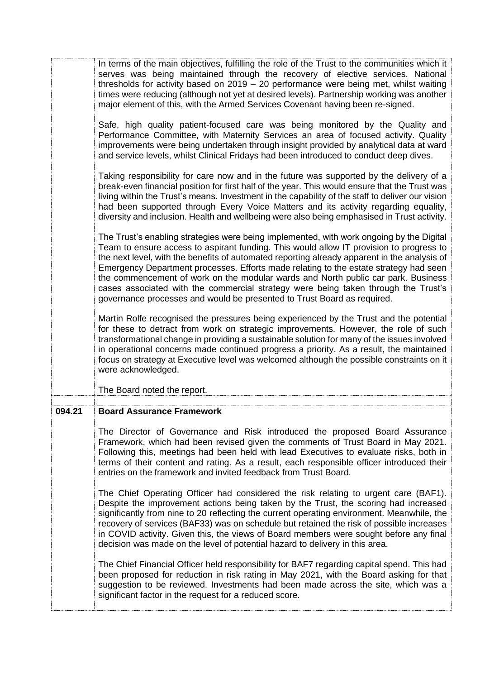|        | In terms of the main objectives, fulfilling the role of the Trust to the communities which it<br>serves was being maintained through the recovery of elective services. National<br>thresholds for activity based on $2019 - 20$ performance were being met, whilst waiting<br>times were reducing (although not yet at desired levels). Partnership working was another<br>major element of this, with the Armed Services Covenant having been re-signed.                                                                                                                                                                         |
|--------|------------------------------------------------------------------------------------------------------------------------------------------------------------------------------------------------------------------------------------------------------------------------------------------------------------------------------------------------------------------------------------------------------------------------------------------------------------------------------------------------------------------------------------------------------------------------------------------------------------------------------------|
|        | Safe, high quality patient-focused care was being monitored by the Quality and<br>Performance Committee, with Maternity Services an area of focused activity. Quality<br>improvements were being undertaken through insight provided by analytical data at ward<br>and service levels, whilst Clinical Fridays had been introduced to conduct deep dives.                                                                                                                                                                                                                                                                          |
|        | Taking responsibility for care now and in the future was supported by the delivery of a<br>break-even financial position for first half of the year. This would ensure that the Trust was<br>living within the Trust's means. Investment in the capability of the staff to deliver our vision<br>had been supported through Every Voice Matters and its activity regarding equality,<br>diversity and inclusion. Health and wellbeing were also being emphasised in Trust activity.                                                                                                                                                |
|        | The Trust's enabling strategies were being implemented, with work ongoing by the Digital<br>Team to ensure access to aspirant funding. This would allow IT provision to progress to<br>the next level, with the benefits of automated reporting already apparent in the analysis of<br>Emergency Department processes. Efforts made relating to the estate strategy had seen<br>the commencement of work on the modular wards and North public car park. Business<br>cases associated with the commercial strategy were being taken through the Trust's<br>governance processes and would be presented to Trust Board as required. |
|        | Martin Rolfe recognised the pressures being experienced by the Trust and the potential<br>for these to detract from work on strategic improvements. However, the role of such<br>transformational change in providing a sustainable solution for many of the issues involved<br>in operational concerns made continued progress a priority. As a result, the maintained<br>focus on strategy at Executive level was welcomed although the possible constraints on it<br>were acknowledged.                                                                                                                                         |
|        | The Board noted the report.                                                                                                                                                                                                                                                                                                                                                                                                                                                                                                                                                                                                        |
| 094.21 | <b>Board Assurance Framework</b>                                                                                                                                                                                                                                                                                                                                                                                                                                                                                                                                                                                                   |
|        | The Director of Governance and Risk introduced the proposed Board Assurance<br>Framework, which had been revised given the comments of Trust Board in May 2021.<br>Following this, meetings had been held with lead Executives to evaluate risks, both in<br>terms of their content and rating. As a result, each responsible officer introduced their<br>entries on the framework and invited feedback from Trust Board.                                                                                                                                                                                                          |
|        | The Chief Operating Officer had considered the risk relating to urgent care (BAF1).<br>Despite the improvement actions being taken by the Trust, the scoring had increased<br>significantly from nine to 20 reflecting the current operating environment. Meanwhile, the<br>recovery of services (BAF33) was on schedule but retained the risk of possible increases<br>in COVID activity. Given this, the views of Board members were sought before any final<br>decision was made on the level of potential hazard to delivery in this area.                                                                                     |
|        | The Chief Financial Officer held responsibility for BAF7 regarding capital spend. This had<br>been proposed for reduction in risk rating in May 2021, with the Board asking for that<br>suggestion to be reviewed. Investments had been made across the site, which was a<br>significant factor in the request for a reduced score.                                                                                                                                                                                                                                                                                                |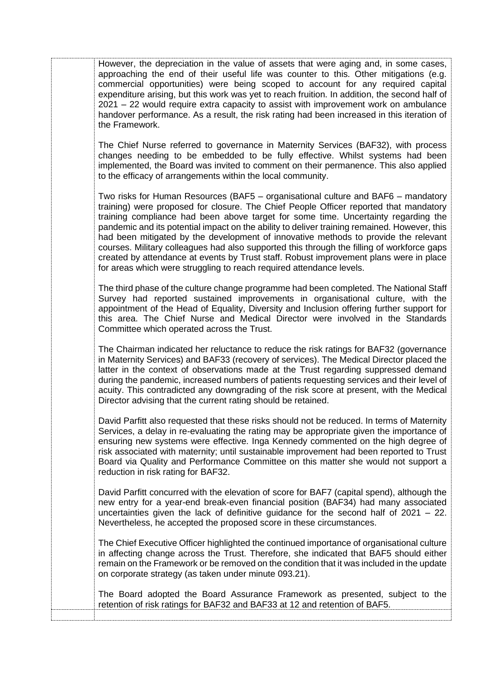However, the depreciation in the value of assets that were aging and, in some cases, approaching the end of their useful life was counter to this. Other mitigations (e.g. commercial opportunities) were being scoped to account for any required capital expenditure arising, but this work was yet to reach fruition. In addition, the second half of 2021 – 22 would require extra capacity to assist with improvement work on ambulance handover performance. As a result, the risk rating had been increased in this iteration of the Framework.

The Chief Nurse referred to governance in Maternity Services (BAF32), with process changes needing to be embedded to be fully effective. Whilst systems had been implemented, the Board was invited to comment on their permanence. This also applied to the efficacy of arrangements within the local community.

Two risks for Human Resources (BAF5 – organisational culture and BAF6 – mandatory training) were proposed for closure. The Chief People Officer reported that mandatory training compliance had been above target for some time. Uncertainty regarding the pandemic and its potential impact on the ability to deliver training remained. However, this had been mitigated by the development of innovative methods to provide the relevant courses. Military colleagues had also supported this through the filling of workforce gaps created by attendance at events by Trust staff. Robust improvement plans were in place for areas which were struggling to reach required attendance levels.

The third phase of the culture change programme had been completed. The National Staff Survey had reported sustained improvements in organisational culture, with the appointment of the Head of Equality, Diversity and Inclusion offering further support for this area. The Chief Nurse and Medical Director were involved in the Standards Committee which operated across the Trust.

The Chairman indicated her reluctance to reduce the risk ratings for BAF32 (governance in Maternity Services) and BAF33 (recovery of services). The Medical Director placed the latter in the context of observations made at the Trust regarding suppressed demand during the pandemic, increased numbers of patients requesting services and their level of acuity. This contradicted any downgrading of the risk score at present, with the Medical Director advising that the current rating should be retained.

David Parfitt also requested that these risks should not be reduced. In terms of Maternity Services, a delay in re-evaluating the rating may be appropriate given the importance of ensuring new systems were effective. Inga Kennedy commented on the high degree of risk associated with maternity; until sustainable improvement had been reported to Trust Board via Quality and Performance Committee on this matter she would not support a reduction in risk rating for BAF32.

David Parfitt concurred with the elevation of score for BAF7 (capital spend), although the new entry for a year-end break-even financial position (BAF34) had many associated uncertainties given the lack of definitive guidance for the second half of 2021 – 22. Nevertheless, he accepted the proposed score in these circumstances.

The Chief Executive Officer highlighted the continued importance of organisational culture in affecting change across the Trust. Therefore, she indicated that BAF5 should either remain on the Framework or be removed on the condition that it was included in the update on corporate strategy (as taken under minute 093.21).

The Board adopted the Board Assurance Framework as presented, subject to the retention of risk ratings for BAF32 and BAF33 at 12 and retention of BAF5.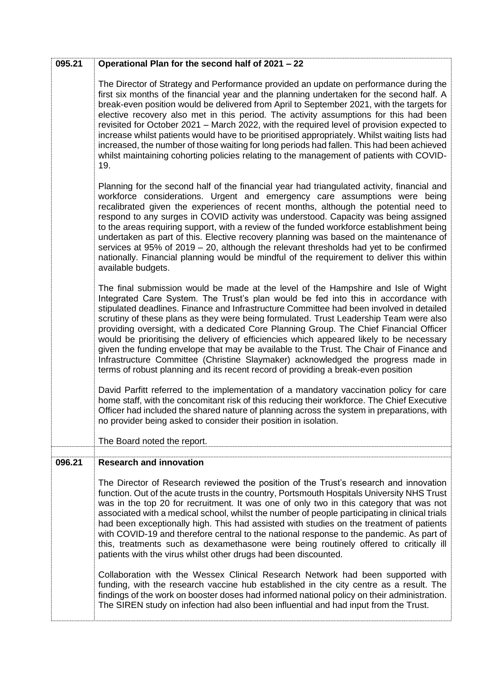| 095.21 | Operational Plan for the second half of 2021 - 22                                                                                                                                                                                                                                                                                                                                                                                                                                                                                                                                                                                                                                                                                                                                                                                                                                                                                                                                                                                                                                                                                           |
|--------|---------------------------------------------------------------------------------------------------------------------------------------------------------------------------------------------------------------------------------------------------------------------------------------------------------------------------------------------------------------------------------------------------------------------------------------------------------------------------------------------------------------------------------------------------------------------------------------------------------------------------------------------------------------------------------------------------------------------------------------------------------------------------------------------------------------------------------------------------------------------------------------------------------------------------------------------------------------------------------------------------------------------------------------------------------------------------------------------------------------------------------------------|
|        | The Director of Strategy and Performance provided an update on performance during the<br>first six months of the financial year and the planning undertaken for the second half. A<br>break-even position would be delivered from April to September 2021, with the targets for<br>elective recovery also met in this period. The activity assumptions for this had been<br>revisited for October 2021 - March 2022, with the required level of provision expected to<br>increase whilst patients would have to be prioritised appropriately. Whilst waiting lists had<br>increased, the number of those waiting for long periods had fallen. This had been achieved<br>whilst maintaining cohorting policies relating to the management of patients with COVID-<br>19.                                                                                                                                                                                                                                                                                                                                                                     |
|        | Planning for the second half of the financial year had triangulated activity, financial and<br>workforce considerations. Urgent and emergency care assumptions were being<br>recalibrated given the experiences of recent months, although the potential need to<br>respond to any surges in COVID activity was understood. Capacity was being assigned<br>to the areas requiring support, with a review of the funded workforce establishment being<br>undertaken as part of this. Elective recovery planning was based on the maintenance of<br>services at $95\%$ of $2019 - 20$ , although the relevant thresholds had yet to be confirmed<br>nationally. Financial planning would be mindful of the requirement to deliver this within<br>available budgets.                                                                                                                                                                                                                                                                                                                                                                           |
|        | The final submission would be made at the level of the Hampshire and Isle of Wight<br>Integrated Care System. The Trust's plan would be fed into this in accordance with<br>stipulated deadlines. Finance and Infrastructure Committee had been involved in detailed<br>scrutiny of these plans as they were being formulated. Trust Leadership Team were also<br>providing oversight, with a dedicated Core Planning Group. The Chief Financial Officer<br>would be prioritising the delivery of efficiencies which appeared likely to be necessary<br>given the funding envelope that may be available to the Trust. The Chair of Finance and<br>Infrastructure Committee (Christine Slaymaker) acknowledged the progress made in<br>terms of robust planning and its recent record of providing a break-even position                                                                                                                                                                                                                                                                                                                    |
|        | David Parfitt referred to the implementation of a mandatory vaccination policy for care<br>home staff, with the concomitant risk of this reducing their workforce. The Chief Executive<br>Officer had included the shared nature of planning across the system in preparations, with<br>no provider being asked to consider their position in isolation.<br>The Board noted the report.                                                                                                                                                                                                                                                                                                                                                                                                                                                                                                                                                                                                                                                                                                                                                     |
|        |                                                                                                                                                                                                                                                                                                                                                                                                                                                                                                                                                                                                                                                                                                                                                                                                                                                                                                                                                                                                                                                                                                                                             |
| 096.21 | <b>Research and innovation</b><br>The Director of Research reviewed the position of the Trust's research and innovation<br>function. Out of the acute trusts in the country, Portsmouth Hospitals University NHS Trust<br>was in the top 20 for recruitment. It was one of only two in this category that was not<br>associated with a medical school, whilst the number of people participating in clinical trials<br>had been exceptionally high. This had assisted with studies on the treatment of patients<br>with COVID-19 and therefore central to the national response to the pandemic. As part of<br>this, treatments such as dexamethasone were being routinely offered to critically ill<br>patients with the virus whilst other drugs had been discounted.<br>Collaboration with the Wessex Clinical Research Network had been supported with<br>funding, with the research vaccine hub established in the city centre as a result. The<br>findings of the work on booster doses had informed national policy on their administration.<br>The SIREN study on infection had also been influential and had input from the Trust. |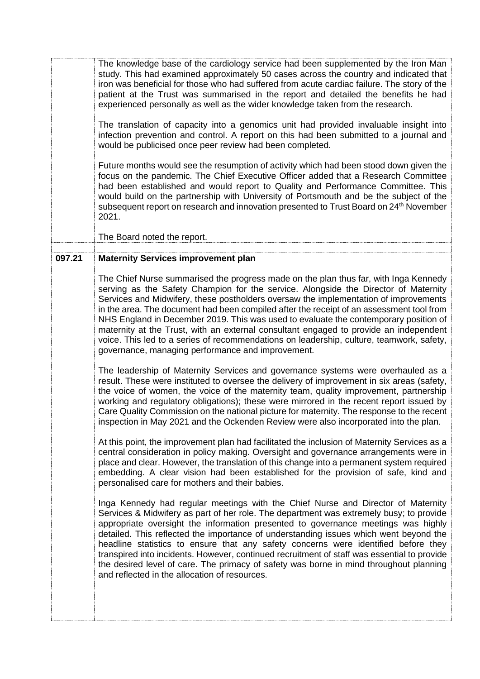The knowledge base of the cardiology service had been supplemented by the Iron Man study. This had examined approximately 50 cases across the country and indicated that iron was beneficial for those who had suffered from acute cardiac failure. The story of the patient at the Trust was summarised in the report and detailed the benefits he had experienced personally as well as the wider knowledge taken from the research.

The translation of capacity into a genomics unit had provided invaluable insight into infection prevention and control. A report on this had been submitted to a journal and would be publicised once peer review had been completed.

Future months would see the resumption of activity which had been stood down given the focus on the pandemic. The Chief Executive Officer added that a Research Committee had been established and would report to Quality and Performance Committee. This would build on the partnership with University of Portsmouth and be the subject of the subsequent report on research and innovation presented to Trust Board on 24<sup>th</sup> November 2021.

The Board noted the report.

## **097.21 Maternity Services improvement plan**

The Chief Nurse summarised the progress made on the plan thus far, with Inga Kennedy serving as the Safety Champion for the service. Alongside the Director of Maternity Services and Midwifery, these postholders oversaw the implementation of improvements in the area. The document had been compiled after the receipt of an assessment tool from NHS England in December 2019. This was used to evaluate the contemporary position of maternity at the Trust, with an external consultant engaged to provide an independent voice. This led to a series of recommendations on leadership, culture, teamwork, safety, governance, managing performance and improvement.

The leadership of Maternity Services and governance systems were overhauled as a result. These were instituted to oversee the delivery of improvement in six areas (safety, the voice of women, the voice of the maternity team, quality improvement, partnership working and regulatory obligations); these were mirrored in the recent report issued by Care Quality Commission on the national picture for maternity. The response to the recent inspection in May 2021 and the Ockenden Review were also incorporated into the plan.

At this point, the improvement plan had facilitated the inclusion of Maternity Services as a central consideration in policy making. Oversight and governance arrangements were in place and clear. However, the translation of this change into a permanent system required embedding. A clear vision had been established for the provision of safe, kind and personalised care for mothers and their babies.

Inga Kennedy had regular meetings with the Chief Nurse and Director of Maternity Services & Midwifery as part of her role. The department was extremely busy; to provide appropriate oversight the information presented to governance meetings was highly detailed. This reflected the importance of understanding issues which went beyond the headline statistics to ensure that any safety concerns were identified before they transpired into incidents. However, continued recruitment of staff was essential to provide the desired level of care. The primacy of safety was borne in mind throughout planning and reflected in the allocation of resources.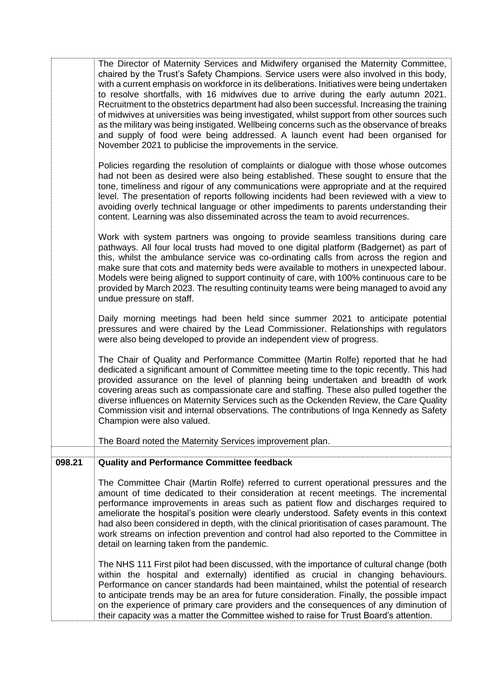|        | The Director of Maternity Services and Midwifery organised the Maternity Committee,<br>chaired by the Trust's Safety Champions. Service users were also involved in this body,<br>with a current emphasis on workforce in its deliberations. Initiatives were being undertaken<br>to resolve shortfalls, with 16 midwives due to arrive during the early autumn 2021.<br>Recruitment to the obstetrics department had also been successful. Increasing the training<br>of midwives at universities was being investigated, whilst support from other sources such<br>as the military was being instigated. Wellbeing concerns such as the observance of breaks<br>and supply of food were being addressed. A launch event had been organised for<br>November 2021 to publicise the improvements in the service. |
|--------|-----------------------------------------------------------------------------------------------------------------------------------------------------------------------------------------------------------------------------------------------------------------------------------------------------------------------------------------------------------------------------------------------------------------------------------------------------------------------------------------------------------------------------------------------------------------------------------------------------------------------------------------------------------------------------------------------------------------------------------------------------------------------------------------------------------------|
|        | Policies regarding the resolution of complaints or dialogue with those whose outcomes<br>had not been as desired were also being established. These sought to ensure that the<br>tone, timeliness and rigour of any communications were appropriate and at the required<br>level. The presentation of reports following incidents had been reviewed with a view to<br>avoiding overly technical language or other impediments to parents understanding their<br>content. Learning was also disseminated across the team to avoid recurrences.                                                                                                                                                                                                                                                                   |
|        | Work with system partners was ongoing to provide seamless transitions during care<br>pathways. All four local trusts had moved to one digital platform (Badgernet) as part of<br>this, whilst the ambulance service was co-ordinating calls from across the region and<br>make sure that cots and maternity beds were available to mothers in unexpected labour.<br>Models were being aligned to support continuity of care, with 100% continuous care to be<br>provided by March 2023. The resulting continuity teams were being managed to avoid any<br>undue pressure on staff.                                                                                                                                                                                                                              |
|        | Daily morning meetings had been held since summer 2021 to anticipate potential<br>pressures and were chaired by the Lead Commissioner. Relationships with regulators<br>were also being developed to provide an independent view of progress.                                                                                                                                                                                                                                                                                                                                                                                                                                                                                                                                                                   |
|        | The Chair of Quality and Performance Committee (Martin Rolfe) reported that he had<br>dedicated a significant amount of Committee meeting time to the topic recently. This had<br>provided assurance on the level of planning being undertaken and breadth of work<br>covering areas such as compassionate care and staffing. These also pulled together the<br>diverse influences on Maternity Services such as the Ockenden Review, the Care Quality<br>Commission visit and internal observations. The contributions of Inga Kennedy as Safety<br>Champion were also valued.                                                                                                                                                                                                                                 |
|        | The Board noted the Maternity Services improvement plan.                                                                                                                                                                                                                                                                                                                                                                                                                                                                                                                                                                                                                                                                                                                                                        |
| 098.21 | <b>Quality and Performance Committee feedback</b>                                                                                                                                                                                                                                                                                                                                                                                                                                                                                                                                                                                                                                                                                                                                                               |
|        | The Committee Chair (Martin Rolfe) referred to current operational pressures and the<br>amount of time dedicated to their consideration at recent meetings. The incremental<br>performance improvements in areas such as patient flow and discharges required to<br>ameliorate the hospital's position were clearly understood. Safety events in this context<br>had also been considered in depth, with the clinical prioritisation of cases paramount. The<br>work streams on infection prevention and control had also reported to the Committee in<br>detail on learning taken from the pandemic.                                                                                                                                                                                                           |
|        | The NHS 111 First pilot had been discussed, with the importance of cultural change (both<br>within the hospital and externally) identified as crucial in changing behaviours.<br>Performance on cancer standards had been maintained, whilst the potential of research<br>to anticipate trends may be an area for future consideration. Finally, the possible impact<br>on the experience of primary care providers and the consequences of any diminution of<br>their capacity was a matter the Committee wished to raise for Trust Board's attention.                                                                                                                                                                                                                                                         |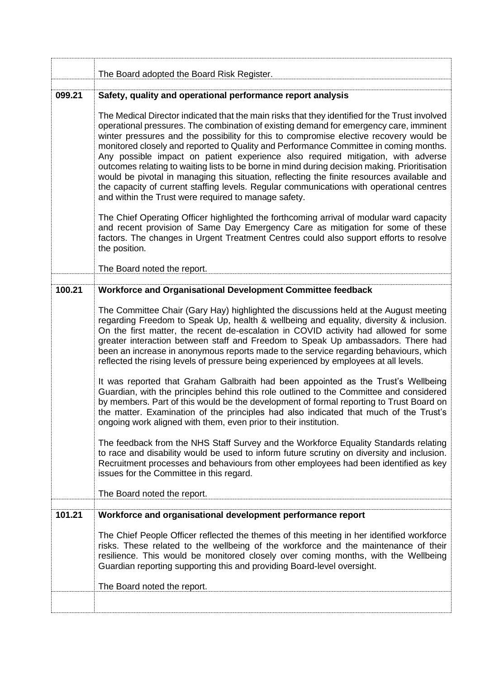|        | The Board adopted the Board Risk Register.                                                                                                                                                                                                                                                                                                                                                                                                                                                                                                                                                                                                                                                                                                                                                                                                                                                                                                                                                                                                                                                                                                                                                                                                                                                                                                     |
|--------|------------------------------------------------------------------------------------------------------------------------------------------------------------------------------------------------------------------------------------------------------------------------------------------------------------------------------------------------------------------------------------------------------------------------------------------------------------------------------------------------------------------------------------------------------------------------------------------------------------------------------------------------------------------------------------------------------------------------------------------------------------------------------------------------------------------------------------------------------------------------------------------------------------------------------------------------------------------------------------------------------------------------------------------------------------------------------------------------------------------------------------------------------------------------------------------------------------------------------------------------------------------------------------------------------------------------------------------------|
| 099.21 |                                                                                                                                                                                                                                                                                                                                                                                                                                                                                                                                                                                                                                                                                                                                                                                                                                                                                                                                                                                                                                                                                                                                                                                                                                                                                                                                                |
|        | Safety, quality and operational performance report analysis<br>The Medical Director indicated that the main risks that they identified for the Trust involved<br>operational pressures. The combination of existing demand for emergency care, imminent<br>winter pressures and the possibility for this to compromise elective recovery would be<br>monitored closely and reported to Quality and Performance Committee in coming months.<br>Any possible impact on patient experience also required mitigation, with adverse<br>outcomes relating to waiting lists to be borne in mind during decision making. Prioritisation<br>would be pivotal in managing this situation, reflecting the finite resources available and<br>the capacity of current staffing levels. Regular communications with operational centres<br>and within the Trust were required to manage safety.<br>The Chief Operating Officer highlighted the forthcoming arrival of modular ward capacity<br>and recent provision of Same Day Emergency Care as mitigation for some of these<br>factors. The changes in Urgent Treatment Centres could also support efforts to resolve<br>the position.                                                                                                                                                                    |
|        | The Board noted the report.                                                                                                                                                                                                                                                                                                                                                                                                                                                                                                                                                                                                                                                                                                                                                                                                                                                                                                                                                                                                                                                                                                                                                                                                                                                                                                                    |
| 100.21 | Workforce and Organisational Development Committee feedback                                                                                                                                                                                                                                                                                                                                                                                                                                                                                                                                                                                                                                                                                                                                                                                                                                                                                                                                                                                                                                                                                                                                                                                                                                                                                    |
|        | The Committee Chair (Gary Hay) highlighted the discussions held at the August meeting<br>regarding Freedom to Speak Up, health & wellbeing and equality, diversity & inclusion.<br>On the first matter, the recent de-escalation in COVID activity had allowed for some<br>greater interaction between staff and Freedom to Speak Up ambassadors. There had<br>been an increase in anonymous reports made to the service regarding behaviours, which<br>reflected the rising levels of pressure being experienced by employees at all levels.<br>It was reported that Graham Galbraith had been appointed as the Trust's Wellbeing<br>Guardian, with the principles behind this role outlined to the Committee and considered<br>by members. Part of this would be the development of formal reporting to Trust Board on<br>the matter. Examination of the principles had also indicated that much of the Trust's<br>ongoing work aligned with them, even prior to their institution.<br>The feedback from the NHS Staff Survey and the Workforce Equality Standards relating<br>to race and disability would be used to inform future scrutiny on diversity and inclusion.<br>Recruitment processes and behaviours from other employees had been identified as key<br>issues for the Committee in this regard.<br>The Board noted the report. |
| 101.21 | Workforce and organisational development performance report                                                                                                                                                                                                                                                                                                                                                                                                                                                                                                                                                                                                                                                                                                                                                                                                                                                                                                                                                                                                                                                                                                                                                                                                                                                                                    |
|        | The Chief People Officer reflected the themes of this meeting in her identified workforce<br>risks. These related to the wellbeing of the workforce and the maintenance of their<br>resilience. This would be monitored closely over coming months, with the Wellbeing<br>Guardian reporting supporting this and providing Board-level oversight.<br>The Board noted the report.                                                                                                                                                                                                                                                                                                                                                                                                                                                                                                                                                                                                                                                                                                                                                                                                                                                                                                                                                               |
|        |                                                                                                                                                                                                                                                                                                                                                                                                                                                                                                                                                                                                                                                                                                                                                                                                                                                                                                                                                                                                                                                                                                                                                                                                                                                                                                                                                |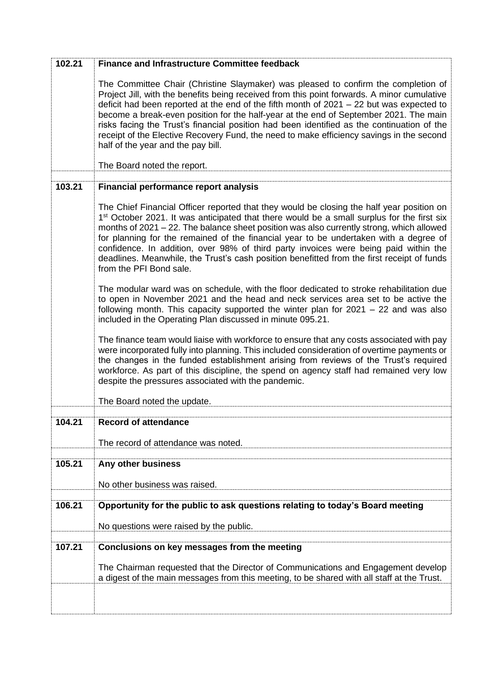| 102.21 | <b>Finance and Infrastructure Committee feedback</b>                                                                                                                                                                                                                                                                                                                                                                                                                                                                                                                                                      |
|--------|-----------------------------------------------------------------------------------------------------------------------------------------------------------------------------------------------------------------------------------------------------------------------------------------------------------------------------------------------------------------------------------------------------------------------------------------------------------------------------------------------------------------------------------------------------------------------------------------------------------|
|        | The Committee Chair (Christine Slaymaker) was pleased to confirm the completion of<br>Project Jill, with the benefits being received from this point forwards. A minor cumulative<br>deficit had been reported at the end of the fifth month of $2021 - 22$ but was expected to<br>become a break-even position for the half-year at the end of September 2021. The main<br>risks facing the Trust's financial position had been identified as the continuation of the<br>receipt of the Elective Recovery Fund, the need to make efficiency savings in the second<br>half of the year and the pay bill.  |
|        | The Board noted the report.                                                                                                                                                                                                                                                                                                                                                                                                                                                                                                                                                                               |
| 103.21 | <b>Financial performance report analysis</b>                                                                                                                                                                                                                                                                                                                                                                                                                                                                                                                                                              |
|        | The Chief Financial Officer reported that they would be closing the half year position on<br>1 <sup>st</sup> October 2021. It was anticipated that there would be a small surplus for the first six<br>months of 2021 - 22. The balance sheet position was also currently strong, which allowed<br>for planning for the remained of the financial year to be undertaken with a degree of<br>confidence. In addition, over 98% of third party invoices were being paid within the<br>deadlines. Meanwhile, the Trust's cash position benefitted from the first receipt of funds<br>from the PFI Bond sale. |
|        | The modular ward was on schedule, with the floor dedicated to stroke rehabilitation due<br>to open in November 2021 and the head and neck services area set to be active the<br>following month. This capacity supported the winter plan for $2021 - 22$ and was also<br>included in the Operating Plan discussed in minute 095.21.                                                                                                                                                                                                                                                                       |
|        | The finance team would liaise with workforce to ensure that any costs associated with pay<br>were incorporated fully into planning. This included consideration of overtime payments or<br>the changes in the funded establishment arising from reviews of the Trust's required<br>workforce. As part of this discipline, the spend on agency staff had remained very low<br>despite the pressures associated with the pandemic.                                                                                                                                                                          |
|        | The Board noted the update.                                                                                                                                                                                                                                                                                                                                                                                                                                                                                                                                                                               |
| 104.21 | <b>Record of attendance</b>                                                                                                                                                                                                                                                                                                                                                                                                                                                                                                                                                                               |
|        | The record of attendance was noted.                                                                                                                                                                                                                                                                                                                                                                                                                                                                                                                                                                       |
|        |                                                                                                                                                                                                                                                                                                                                                                                                                                                                                                                                                                                                           |
| 105.21 | Any other business                                                                                                                                                                                                                                                                                                                                                                                                                                                                                                                                                                                        |
|        | No other business was raised.                                                                                                                                                                                                                                                                                                                                                                                                                                                                                                                                                                             |
| 106.21 | Opportunity for the public to ask questions relating to today's Board meeting                                                                                                                                                                                                                                                                                                                                                                                                                                                                                                                             |
|        | No questions were raised by the public.                                                                                                                                                                                                                                                                                                                                                                                                                                                                                                                                                                   |
| 107.21 | Conclusions on key messages from the meeting                                                                                                                                                                                                                                                                                                                                                                                                                                                                                                                                                              |
|        | The Chairman requested that the Director of Communications and Engagement develop<br>a digest of the main messages from this meeting, to be shared with all staff at the Trust.                                                                                                                                                                                                                                                                                                                                                                                                                           |
|        |                                                                                                                                                                                                                                                                                                                                                                                                                                                                                                                                                                                                           |